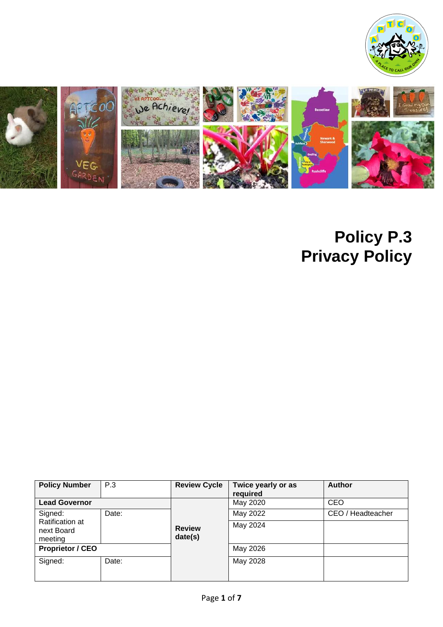



# **Policy P.3 Privacy Policy**

| <b>Policy Number</b>                     | P.3   | <b>Review Cycle</b>      | Twice yearly or as<br>required | <b>Author</b>     |
|------------------------------------------|-------|--------------------------|--------------------------------|-------------------|
| <b>Lead Governor</b>                     |       |                          | May 2020                       | <b>CEO</b>        |
| Signed:                                  | Date: |                          | May 2022                       | CEO / Headteacher |
| Ratification at<br>next Board<br>meeting |       | <b>Review</b><br>date(s) | May 2024                       |                   |
| <b>Proprietor / CEO</b>                  |       |                          | May 2026                       |                   |
| Signed:                                  | Date: |                          | May 2028                       |                   |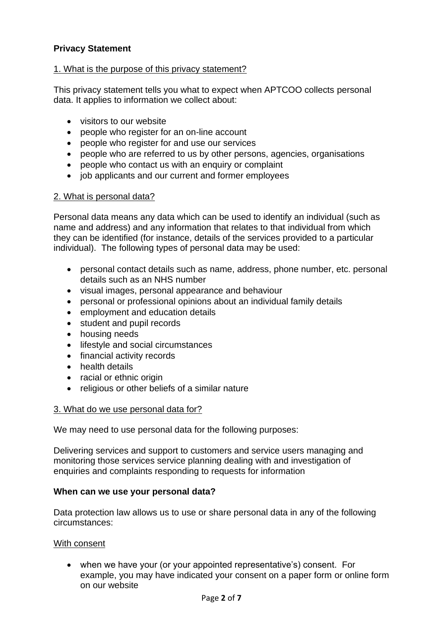### **Privacy Statement**

#### 1. What is the purpose of this privacy statement?

This privacy statement tells you what to expect when APTCOO collects personal data. It applies to information we collect about:

- visitors to our website
- people who register for an on-line account
- people who register for and use our services
- people who are referred to us by other persons, agencies, organisations
- people who contact us with an enquiry or complaint
- job applicants and our current and former employees

#### 2. What is personal data?

Personal data means any data which can be used to identify an individual (such as name and address) and any information that relates to that individual from which they can be identified (for instance, details of the services provided to a particular individual). The following types of personal data may be used:

- personal contact details such as name, address, phone number, etc. personal details such as an NHS number
- visual images, personal appearance and behaviour
- personal or professional opinions about an individual family details
- employment and education details
- student and pupil records
- housing needs
- lifestyle and social circumstances
- financial activity records
- health details
- racial or ethnic origin
- religious or other beliefs of a similar nature

#### 3. What do we use personal data for?

We may need to use personal data for the following purposes:

Delivering services and support to customers and service users managing and monitoring those services service planning dealing with and investigation of enquiries and complaints responding to requests for information

#### **When can we use your personal data?**

Data protection law allows us to use or share personal data in any of the following circumstances:

#### With consent

• when we have your (or your appointed representative's) consent. For example, you may have indicated your consent on a paper form or online form on our website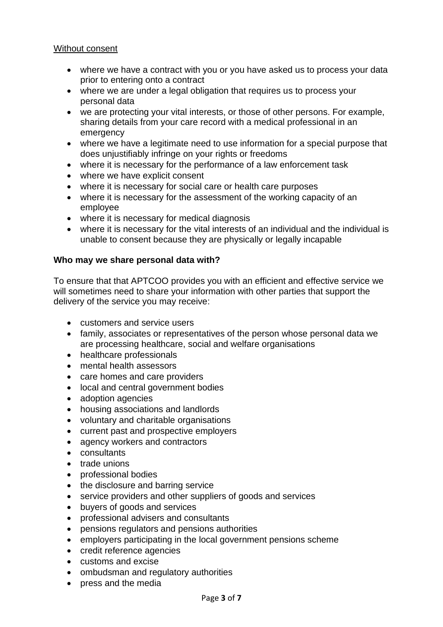#### Without consent

- where we have a contract with you or you have asked us to process your data prior to entering onto a contract
- where we are under a legal obligation that requires us to process your personal data
- we are protecting your vital interests, or those of other persons. For example, sharing details from your care record with a medical professional in an emergency
- where we have a legitimate need to use information for a special purpose that does unjustifiably infringe on your rights or freedoms
- where it is necessary for the performance of a law enforcement task
- where we have explicit consent
- where it is necessary for social care or health care purposes
- where it is necessary for the assessment of the working capacity of an employee
- where it is necessary for medical diagnosis
- where it is necessary for the vital interests of an individual and the individual is unable to consent because they are physically or legally incapable

#### **Who may we share personal data with?**

To ensure that that APTCOO provides you with an efficient and effective service we will sometimes need to share your information with other parties that support the delivery of the service you may receive:

- customers and service users
- family, associates or representatives of the person whose personal data we are processing healthcare, social and welfare organisations
- healthcare professionals
- mental health assessors
- care homes and care providers
- local and central government bodies
- adoption agencies
- housing associations and landlords
- voluntary and charitable organisations
- current past and prospective employers
- agency workers and contractors
- consultants
- trade unions
- professional bodies
- the disclosure and barring service
- service providers and other suppliers of goods and services
- buyers of goods and services
- professional advisers and consultants
- pensions regulators and pensions authorities
- employers participating in the local government pensions scheme
- credit reference agencies
- customs and excise
- ombudsman and regulatory authorities
- press and the media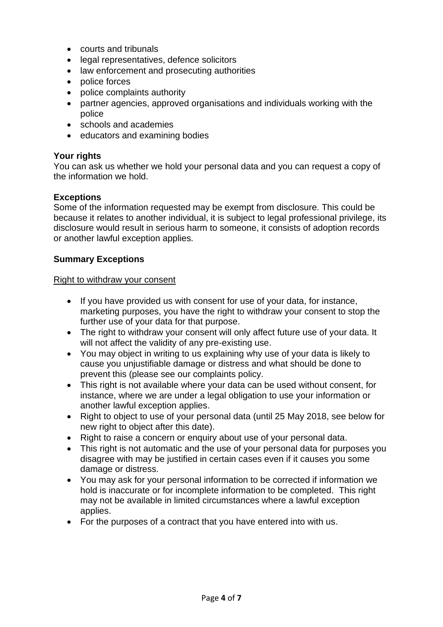- courts and tribunals
- legal representatives, defence solicitors
- law enforcement and prosecuting authorities
- police forces
- police complaints authority
- partner agencies, approved organisations and individuals working with the police
- schools and academies
- educators and examining bodies

#### **Your rights**

You can ask us whether we hold your personal data and you can request a copy of the information we hold.

#### **Exceptions**

Some of the information requested may be exempt from disclosure. This could be because it relates to another individual, it is subject to legal professional privilege, its disclosure would result in serious harm to someone, it consists of adoption records or another lawful exception applies.

#### **Summary Exceptions**

#### Right to withdraw your consent

- If you have provided us with consent for use of your data, for instance, marketing purposes, you have the right to withdraw your consent to stop the further use of your data for that purpose.
- The right to withdraw your consent will only affect future use of your data. It will not affect the validity of any pre-existing use.
- You may object in writing to us explaining why use of your data is likely to cause you unjustifiable damage or distress and what should be done to prevent this (please see our complaints policy.
- This right is not available where your data can be used without consent, for instance, where we are under a legal obligation to use your information or another lawful exception applies.
- Right to object to use of your personal data (until 25 May 2018, see below for new right to object after this date).
- Right to raise a concern or enquiry about use of your personal data.
- This right is not automatic and the use of your personal data for purposes you disagree with may be justified in certain cases even if it causes you some damage or distress.
- You may ask for your personal information to be corrected if information we hold is inaccurate or for incomplete information to be completed. This right may not be available in limited circumstances where a lawful exception applies.
- For the purposes of a contract that you have entered into with us.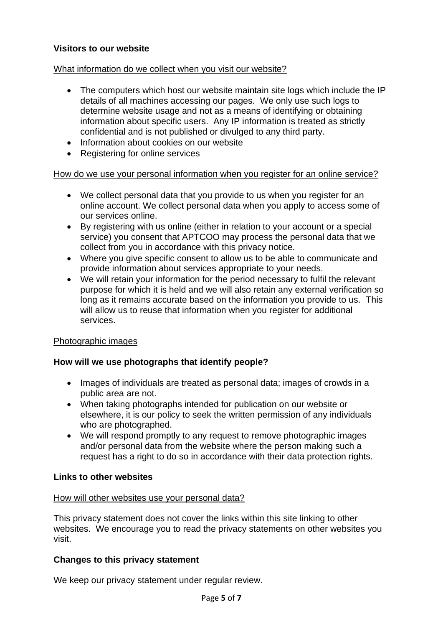#### **Visitors to our website**

#### What information do we collect when you visit our website?

- The computers which host our website maintain site logs which include the IP details of all machines accessing our pages. We only use such logs to determine website usage and not as a means of identifying or obtaining information about specific users. Any IP information is treated as strictly confidential and is not published or divulged to any third party.
- Information about cookies on our website
- Registering for online services

#### How do we use your personal information when you register for an online service?

- We collect personal data that you provide to us when you register for an online account. We collect personal data when you apply to access some of our services online.
- By registering with us online (either in relation to your account or a special service) you consent that APTCOO may process the personal data that we collect from you in accordance with this privacy notice.
- Where you give specific consent to allow us to be able to communicate and provide information about services appropriate to your needs.
- We will retain your information for the period necessary to fulfil the relevant purpose for which it is held and we will also retain any external verification so long as it remains accurate based on the information you provide to us. This will allow us to reuse that information when you register for additional services.

#### Photographic images

#### **How will we use photographs that identify people?**

- Images of individuals are treated as personal data; images of crowds in a public area are not.
- When taking photographs intended for publication on our website or elsewhere, it is our policy to seek the written permission of any individuals who are photographed.
- We will respond promptly to any request to remove photographic images and/or personal data from the website where the person making such a request has a right to do so in accordance with their data protection rights.

#### **Links to other websites**

#### How will other websites use your personal data?

This privacy statement does not cover the links within this site linking to other websites. We encourage you to read the privacy statements on other websites you visit.

#### **Changes to this privacy statement**

We keep our privacy statement under regular review.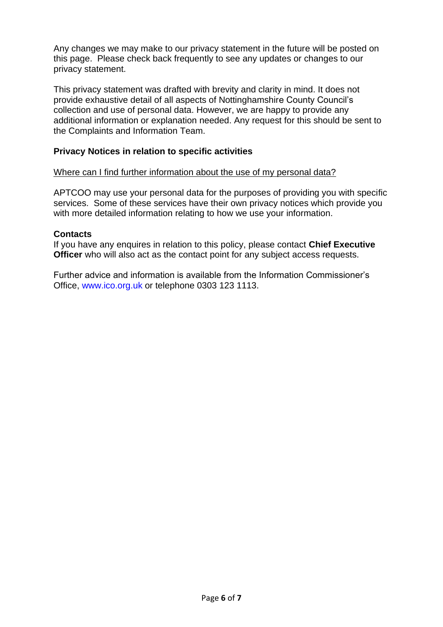Any changes we may make to our privacy statement in the future will be posted on this page. Please check back frequently to see any updates or changes to our privacy statement.

This privacy statement was drafted with brevity and clarity in mind. It does not provide exhaustive detail of all aspects of Nottinghamshire County Council's collection and use of personal data. However, we are happy to provide any additional information or explanation needed. Any request for this should be sent to the Complaints and Information Team.

#### **Privacy Notices in relation to specific activities**

#### Where can I find further information about the use of my personal data?

APTCOO may use your personal data for the purposes of providing you with specific services. Some of these services have their own privacy notices which provide you with more detailed information relating to how we use your information.

#### **Contacts**

If you have any enquires in relation to this policy, please contact **Chief Executive Officer** who will also act as the contact point for any subject access requests.

Further advice and information is available from the Information Commissioner's Office, www.ico.org.uk or telephone 0303 123 1113.